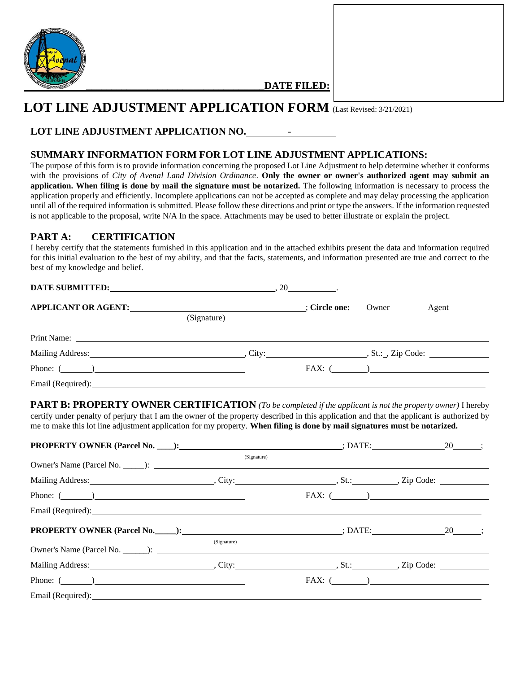

**\_\_\_\_\_\_\_\_\_\_\_\_\_\_\_\_\_\_\_\_\_\_\_\_\_\_\_\_\_\_\_\_\_\_\_DATE FILED:**

# **LOT LINE ADJUSTMENT APPLICATION FORM** (Last Revised: 3/21/2021)

# **LOT LINE ADJUSTMENT APPLICATION NO.** -

# **SUMMARY INFORMATION FORM FOR LOT LINE ADJUSTMENT APPLICATIONS:**

The purpose of this form is to provide information concerning the proposed Lot Line Adjustment to help determine whether it conforms with the provisions of *City of Avenal Land Division Ordinance*. **Only the owner or owner's authorized agent may submit an application. When filing is done by mail the signature must be notarized.** The following information is necessary to process the application properly and efficiently. Incomplete applications can not be accepted as complete and may delay processing the application until all of the required information is submitted. Please follow these directions and print or type the answers. If the information requested is not applicable to the proposal, write N/A In the space. Attachments may be used to better illustrate or explain the project.

### **PART A: CERTIFICATION**

I hereby certify that the statements furnished in this application and in the attached exhibits present the data and information required for this initial evaluation to the best of my ability, and that the facts, statements, and information presented are true and correct to the best of my knowledge and belief.

| APPLICANT OR AGENT: [: Circle one:                                                                                                                                                                                             |             |  | Owner | Agent |  |
|--------------------------------------------------------------------------------------------------------------------------------------------------------------------------------------------------------------------------------|-------------|--|-------|-------|--|
|                                                                                                                                                                                                                                | (Signature) |  |       |       |  |
|                                                                                                                                                                                                                                |             |  |       |       |  |
| Mailing Address: Sales City: St.: St.: 2ip Code: St.: 2ip Code: 2. St.: 2ip Code: 2. St.: 2ip Code: 2. St.: 2ip Code: 2. St.: 2ip Code: 2. St.: 2ip Code: 2. St.: 2ip Code: 2. St.: 2ip Code: 2. St.: 2ip Code: 2. St.: 2ip Co |             |  |       |       |  |
| Phone: $(\_\_)$                                                                                                                                                                                                                |             |  |       |       |  |
| Email (Required): Note that the set of the set of the set of the set of the set of the set of the set of the set of the set of the set of the set of the set of the set of the set of the set of the set of the set of the set |             |  |       |       |  |

**PART B: PROPERTY OWNER CERTIFICATION** *(To be completed if the applicant is not the property owner)* I hereby certify under penalty of perjury that I am the owner of the property described in this application and that the applicant is authorized by me to make this lot line adjustment application for my property. **When filing is done by mail signatures must be notarized.**

|                                                                                                                                                                                                                                | (Signature) |               |
|--------------------------------------------------------------------------------------------------------------------------------------------------------------------------------------------------------------------------------|-------------|---------------|
|                                                                                                                                                                                                                                |             |               |
| Phone: $(\_\_)$                                                                                                                                                                                                                |             | $FAX: (\_\_)$ |
| Email (Required): Note that the contract of the contract of the contract of the contract of the contract of the contract of the contract of the contract of the contract of the contract of the contract of the contract of th |             |               |
|                                                                                                                                                                                                                                |             |               |
|                                                                                                                                                                                                                                | (Signature) |               |
|                                                                                                                                                                                                                                |             |               |
| Phone: $\qquad \qquad$                                                                                                                                                                                                         |             | $FAX: ($      |
|                                                                                                                                                                                                                                |             |               |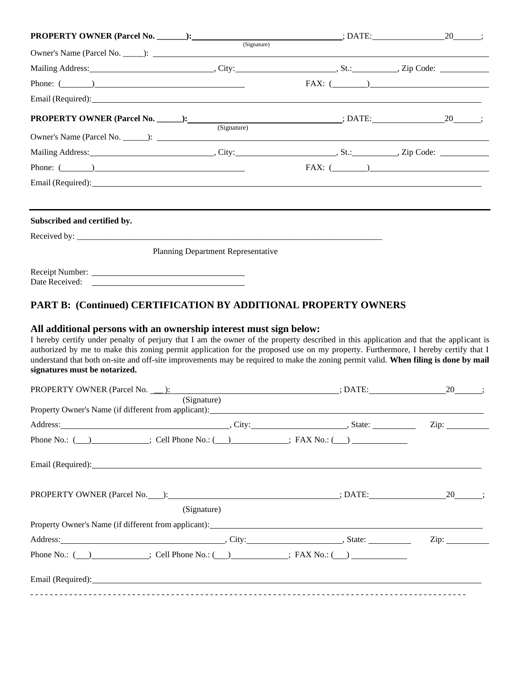| Phone: $(\_\_)$                                                        |                                           | $FAX: ( \_\_)$ |  |
|------------------------------------------------------------------------|-------------------------------------------|----------------|--|
|                                                                        |                                           |                |  |
|                                                                        | (Signature)                               |                |  |
|                                                                        |                                           |                |  |
| Phone: $(\_\_)$                                                        |                                           | $FAX: ( \_\_)$ |  |
| Email (Required):                                                      |                                           |                |  |
| Subscribed and certified by.                                           |                                           |                |  |
|                                                                        |                                           |                |  |
|                                                                        | <b>Planning Department Representative</b> |                |  |
|                                                                        |                                           |                |  |
| <b>PART B: (Continued) CERTIFICATION BY ADDITIONAL PROPERTY OWNERS</b> |                                           |                |  |

# **All additional persons with an ownership interest must sign below:**

I hereby certify under penalty of perjury that I am the owner of the property described in this application and that the applicant is authorized by me to make this zoning permit application for the proposed use on my property. Furthermore, I hereby certify that I understand that both on-site and off-site improvements may be required to make the zoning permit valid. **When filing is done by mail signatures must be notarized.**

| PROPERTY OWNER (Parcel No. <u>):</u> (20 \, contract 20 \, contract 20 \, contract 20 \, contract 20 \, contract 20 \, contract 3. |             |  |                       |
|------------------------------------------------------------------------------------------------------------------------------------|-------------|--|-----------------------|
|                                                                                                                                    | (Signature) |  |                       |
|                                                                                                                                    |             |  | $\operatorname{Zip:}$ |
| Phone No.: $\qquad \qquad$ ; Cell Phone No.: $\qquad \qquad$ ; FAX No.: $\qquad \qquad$                                            |             |  |                       |
| Email (Required): Email (Required):                                                                                                |             |  |                       |
|                                                                                                                                    |             |  |                       |
|                                                                                                                                    | (Signature) |  |                       |
| Property Owner's Name (if different from applicant):                                                                               |             |  |                       |
|                                                                                                                                    |             |  | $\mathsf{Zip:}\_$     |
| Phone No.: $\qquad \qquad$ ; Cell Phone No.: $\qquad \qquad$ ; FAX No.: $\qquad \qquad$                                            |             |  |                       |
| Email (Required): Email (Required):                                                                                                |             |  |                       |
|                                                                                                                                    |             |  |                       |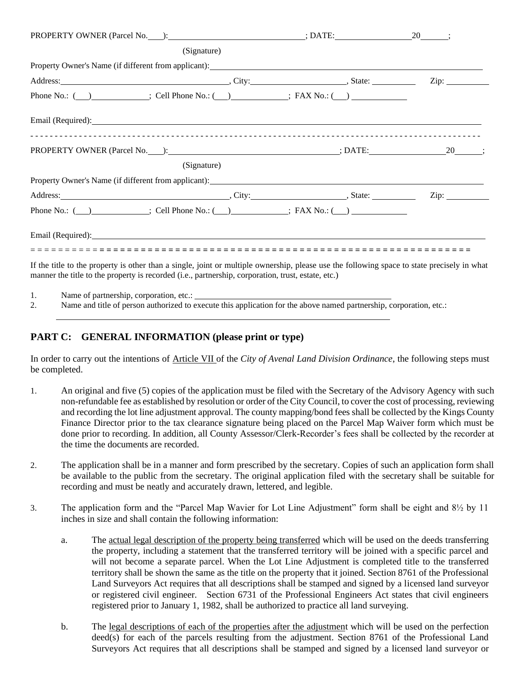|                                                                                                                                                                                                                                | (Signature) |  |
|--------------------------------------------------------------------------------------------------------------------------------------------------------------------------------------------------------------------------------|-------------|--|
|                                                                                                                                                                                                                                |             |  |
|                                                                                                                                                                                                                                |             |  |
| Phone No.: $\qquad)$ ; Cell Phone No.: $\qquad)$ ; FAX No.: $\qquad)$                                                                                                                                                          |             |  |
|                                                                                                                                                                                                                                |             |  |
|                                                                                                                                                                                                                                |             |  |
|                                                                                                                                                                                                                                | (Signature) |  |
| Property Owner's Name (if different from applicant): Manual Manual Manual Manual Manual Manual Manual Manual Ma                                                                                                                |             |  |
| Address: Zip: Zip: Zip: 2014. [2] Address: Zip: 2014. [2] Address: Zip: 2014. [2] Address: Zip: 2014. [2] Address: Zip: 2014. [2] Address: 2014. [2] Address: 2014. [2] Address: 2014. [2] Address: 2014. [2] Address: 2014. [ |             |  |
| Phone No.: $(\_\_\_\_\_\$ Cell Phone No.: $(\_\_\_\_\_\$ ; FAX No.: $(\_\_\_\_\_\_\$                                                                                                                                           |             |  |
|                                                                                                                                                                                                                                |             |  |
|                                                                                                                                                                                                                                |             |  |
| If the title to the property is other than a single, joint or multiple ownership, please use the following space to state precisely in what                                                                                    |             |  |

If the title to the property is other than a single, joint or multiple ownership, please use the following space to state precisely in what manner the title to the property is recorded (i.e., partnership, corporation, trust, estate, etc.)

- 1. Name of partnership, corporation, etc.:
- 2. Name and title of person authorized to execute this application for the above named partnership, corporation, etc.:

# **PART C: GENERAL INFORMATION (please print or type)**

In order to carry out the intentions of Article VII of the *City of Avenal Land Division Ordinance*, the following steps must be completed.

- 1. An original and five (5) copies of the application must be filed with the Secretary of the Advisory Agency with such non-refundable fee as established by resolution or order of the City Council, to cover the cost of processing, reviewing and recording the lot line adjustment approval. The county mapping/bond fees shall be collected by the Kings County Finance Director prior to the tax clearance signature being placed on the Parcel Map Waiver form which must be done prior to recording. In addition, all County Assessor/Clerk-Recorder's fees shall be collected by the recorder at the time the documents are recorded.
- 2. The application shall be in a manner and form prescribed by the secretary. Copies of such an application form shall be available to the public from the secretary. The original application filed with the secretary shall be suitable for recording and must be neatly and accurately drawn, lettered, and legible.
- 3. The application form and the "Parcel Map Wavier for Lot Line Adjustment" form shall be eight and 8½ by 11 inches in size and shall contain the following information:
	- a. The actual legal description of the property being transferred which will be used on the deeds transferring the property, including a statement that the transferred territory will be joined with a specific parcel and will not become a separate parcel. When the Lot Line Adjustment is completed title to the transferred territory shall be shown the same as the title on the property that it joined. Section 8761 of the Professional Land Surveyors Act requires that all descriptions shall be stamped and signed by a licensed land surveyor or registered civil engineer. Section 6731 of the Professional Engineers Act states that civil engineers registered prior to January 1, 1982, shall be authorized to practice all land surveying.
	- b. The legal descriptions of each of the properties after the adjustment which will be used on the perfection deed(s) for each of the parcels resulting from the adjustment. Section 8761 of the Professional Land Surveyors Act requires that all descriptions shall be stamped and signed by a licensed land surveyor or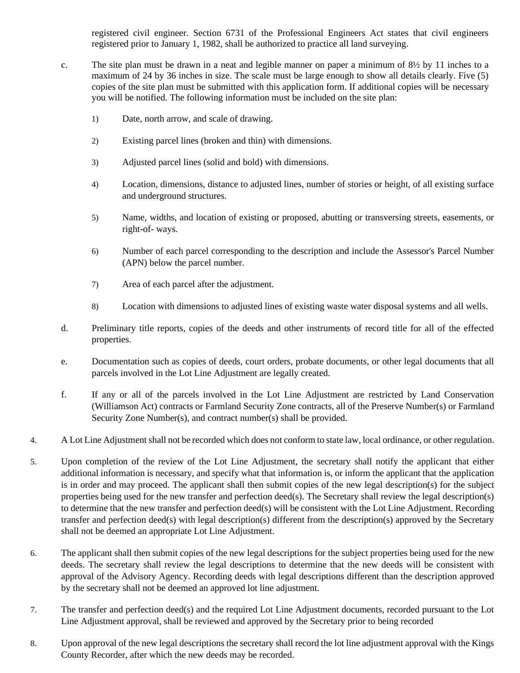registered civil engineer. Section 6731 of the Professional Engineers Act states that civil engineers registered prior to January 1, 1982, shall be authorized to practice all land surveying.

- c. The site plan must be drawn in a neat and legible manner on paper a minimum of  $8\frac{1}{2}$  by 11 inches to a maximum of 24 by 36 inches in size. The scale must be large enough to show all details clearly. Five (5) copies of the site plan must be submitted with this application form. If additional copies will be necessary you will be notified. The following information must be included on the site plan:
	- 1) Date, north arrow, and scale of drawing.
	- 2) Existing parcel lines (broken and thin) with dimensions.
	- 3) Adjusted parcel lines (solid and bold) with dimensions.
	- 4) Location, dimensions, distance to adjusted lines, number of stories or height, of all existing surface and underground structures.
	- 5) Name, widths, and location of existing or proposed, abutting or transversing streets, easements, or right-of- ways.
	- 6) Number of each parcel corresponding to the description and include the Assessor's Parcel Number (APN) below the parcel number.
	- 7) Area of each parcel after the adjustment.
	- 8) Location with dimensions to adjusted lines of existing waste water disposal systems and all wells.
- d. Preliminary title reports, copies of the deeds and other instruments of record title for all of the effected properties.
- e. Documentation such as copies of deeds, court orders, probate documents, or other legal documents that all parcels involved in the Lot Line Adjustment are legally created.
- f. If any or all of the parcels involved in the Lot Line Adjustment are restricted by Land Conservation (Williamson Act) contracts or Farmland Security Zone contracts, all of the Preserve Number(s) or Farmland Security Zone Number(s), and contract number(s) shall be provided.
- 4. A Lot Line Adjustmentshall not be recorded which does not conform to state law, local ordinance, or other regulation.
- 5. Upon completion of the review of the Lot Line Adjustment, the secretary shall notify the applicant that either additional information is necessary, and specify what that information is, or inform the applicant that the application is in order and may proceed. The applicant shall then submit copies of the new legal description(s) for the subject properties being used for the new transfer and perfection deed(s). The Secretary shall review the legal description(s) to determine that the new transfer and perfection deed(s) will be consistent with the Lot Line Adjustment. Recording transfer and perfection deed(s) with legal description(s) different from the description(s) approved by the Secretary shall not be deemed an appropriate Lot Line Adjustment.
- 6. The applicant shall then submit copies of the new legal descriptions for the subject properties being used for the new deeds. The secretary shall review the legal descriptions to determine that the new deeds will be consistent with approval of the Advisory Agency. Recording deeds with legal descriptions different than the description approved by the secretary shall not be deemed an approved lot line adjustment.
- 7. The transfer and perfection deed(s) and the required Lot Line Adjustment documents, recorded pursuant to the Lot Line Adjustment approval, shall be reviewed and approved by the Secretary prior to being recorded
- 8. Upon approval of the new legal descriptions the secretary shall record the lot line adjustment approval with the Kings County Recorder, after which the new deeds may be recorded.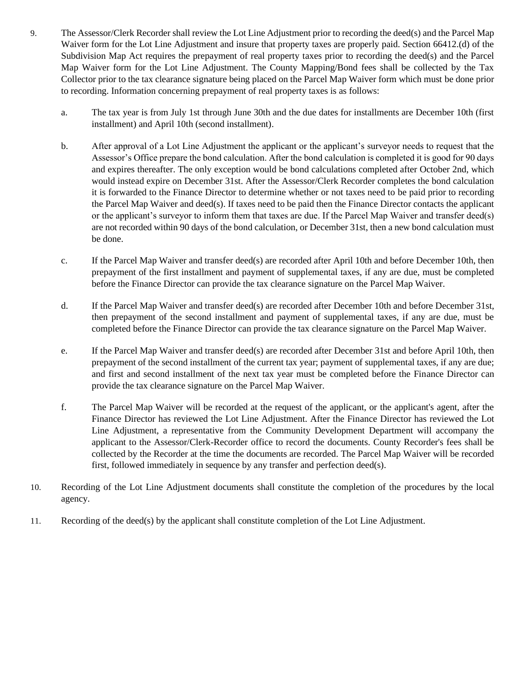- 9. The Assessor/Clerk Recorder shall review the Lot Line Adjustment prior to recording the deed(s) and the Parcel Map Waiver form for the Lot Line Adjustment and insure that property taxes are properly paid. Section 66412.(d) of the Subdivision Map Act requires the prepayment of real property taxes prior to recording the deed(s) and the Parcel Map Waiver form for the Lot Line Adjustment. The County Mapping/Bond fees shall be collected by the Tax Collector prior to the tax clearance signature being placed on the Parcel Map Waiver form which must be done prior to recording. Information concerning prepayment of real property taxes is as follows:
	- a. The tax year is from July 1st through June 30th and the due dates for installments are December 10th (first installment) and April 10th (second installment).
	- b. After approval of a Lot Line Adjustment the applicant or the applicant's surveyor needs to request that the Assessor's Office prepare the bond calculation. After the bond calculation is completed it is good for 90 days and expires thereafter. The only exception would be bond calculations completed after October 2nd, which would instead expire on December 31st. After the Assessor/Clerk Recorder completes the bond calculation it is forwarded to the Finance Director to determine whether or not taxes need to be paid prior to recording the Parcel Map Waiver and deed(s). If taxes need to be paid then the Finance Director contacts the applicant or the applicant's surveyor to inform them that taxes are due. If the Parcel Map Waiver and transfer deed(s) are not recorded within 90 days of the bond calculation, or December 31st, then a new bond calculation must be done.
	- c. If the Parcel Map Waiver and transfer deed(s) are recorded after April 10th and before December 10th, then prepayment of the first installment and payment of supplemental taxes, if any are due, must be completed before the Finance Director can provide the tax clearance signature on the Parcel Map Waiver.
	- d. If the Parcel Map Waiver and transfer deed(s) are recorded after December 10th and before December 31st, then prepayment of the second installment and payment of supplemental taxes, if any are due, must be completed before the Finance Director can provide the tax clearance signature on the Parcel Map Waiver.
	- e. If the Parcel Map Waiver and transfer deed(s) are recorded after December 31st and before April 10th, then prepayment of the second installment of the current tax year; payment of supplemental taxes, if any are due; and first and second installment of the next tax year must be completed before the Finance Director can provide the tax clearance signature on the Parcel Map Waiver.
	- f. The Parcel Map Waiver will be recorded at the request of the applicant, or the applicant's agent, after the Finance Director has reviewed the Lot Line Adjustment. After the Finance Director has reviewed the Lot Line Adjustment, a representative from the Community Development Department will accompany the applicant to the Assessor/Clerk-Recorder office to record the documents. County Recorder's fees shall be collected by the Recorder at the time the documents are recorded. The Parcel Map Waiver will be recorded first, followed immediately in sequence by any transfer and perfection deed(s).
- 10. Recording of the Lot Line Adjustment documents shall constitute the completion of the procedures by the local agency.
- 11. Recording of the deed(s) by the applicant shall constitute completion of the Lot Line Adjustment.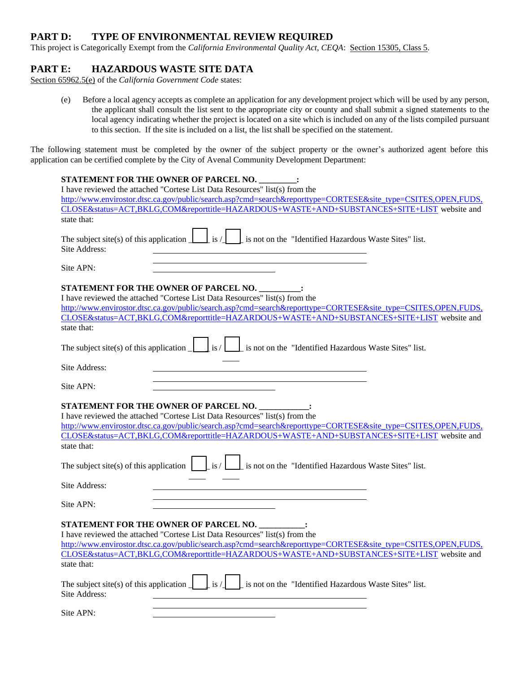### **PART D: TYPE OF ENVIRONMENTAL REVIEW REQUIRED**

This project is Categorically Exempt from the *California Environmental Quality Act*, *CEQA*: Section 15305, Class 5.

### **PART E: HAZARDOUS WASTE SITE DATA**

Section 65962.5(e) of the *California Government Code* states:

(e) Before a local agency accepts as complete an application for any development project which will be used by any person, the applicant shall consult the list sent to the appropriate city or county and shall submit a signed statements to the local agency indicating whether the project is located on a site which is included on any of the lists compiled pursuant to this section. If the site is included on a list, the list shall be specified on the statement.

The following statement must be completed by the owner of the subject property or the owner's authorized agent before this application can be certified complete by the City of Avenal Community Development Department:

| <b>STATEMENT FOR THE OWNER OF PARCEL NO. _________:</b><br>I have reviewed the attached "Cortese List Data Resources" list(s) from the                                                                                                                                                                                                                     |  |  |  |  |  |
|------------------------------------------------------------------------------------------------------------------------------------------------------------------------------------------------------------------------------------------------------------------------------------------------------------------------------------------------------------|--|--|--|--|--|
| http://www.envirostor.dtsc.ca.gov/public/search.asp?cmd=search&reporttype=CORTESE&site_type=CSITES,OPEN,FUDS,<br>CLOSE&status=ACT,BKLG,COM&reporttitle=HAZARDOUS+WASTE+AND+SUBSTANCES+SITE+LIST website and<br>state that:                                                                                                                                 |  |  |  |  |  |
| $\frac{1}{1}$ is /<br>1 is not on the "Identified Hazardous Waste Sites" list.<br>The subject site(s) of this application $\lfloor$<br>Site Address:                                                                                                                                                                                                       |  |  |  |  |  |
| Site APN:                                                                                                                                                                                                                                                                                                                                                  |  |  |  |  |  |
| STATEMENT FOR THE OWNER OF PARCEL NO.<br>I have reviewed the attached "Cortese List Data Resources" list(s) from the<br>http://www.envirostor.dtsc.ca.gov/public/search.asp?cmd=search&reporttype=CORTESE&site_type=CSITES,OPEN,FUDS,<br>CLOSE&status=ACT,BKLG,COM&reporttitle=HAZARDOUS+WASTE+AND+SUBSTANCES+SITE+LIST website and<br>state that:         |  |  |  |  |  |
| is/<br>I is not on the "Identified Hazardous Waste Sites" list.<br>The subject site(s) of this application $\boxed{\phantom{a}}$                                                                                                                                                                                                                           |  |  |  |  |  |
| Site Address:                                                                                                                                                                                                                                                                                                                                              |  |  |  |  |  |
| Site APN:                                                                                                                                                                                                                                                                                                                                                  |  |  |  |  |  |
| STATEMENT FOR THE OWNER OF PARCEL NO.<br>I have reviewed the attached "Cortese List Data Resources" list(s) from the<br>http://www.envirostor.dtsc.ca.gov/public/search.asp?cmd=search&reporttype=CORTESE&site_type=CSITES,OPEN,FUDS,<br>CLOSE&status=ACT,BKLG,COM&reporttitle=HAZARDOUS+WASTE+AND+SUBSTANCES+SITE+LIST website and<br>state that:         |  |  |  |  |  |
| The subject site(s) of this application $\Big  \Big $ is / $\Big $<br>is not on the "Identified Hazardous Waste Sites" list.                                                                                                                                                                                                                               |  |  |  |  |  |
| Site Address:                                                                                                                                                                                                                                                                                                                                              |  |  |  |  |  |
| Site APN:                                                                                                                                                                                                                                                                                                                                                  |  |  |  |  |  |
| STATEMENT FOR THE OWNER OF PARCEL NO. _______<br>I have reviewed the attached "Cortese List Data Resources" list(s) from the<br>http://www.envirostor.dtsc.ca.gov/public/search.asp?cmd=search&reporttype=CORTESE&site_type=CSITES,OPEN,FUDS,<br>CLOSE&status=ACT,BKLG,COM&reporttitle=HAZARDOUS+WASTE+AND+SUBSTANCES+SITE+LIST website and<br>state that: |  |  |  |  |  |
| The subject site(s) of this application $\int$ [is /<br>is not on the "Identified Hazardous Waste Sites" list.<br>Site Address:                                                                                                                                                                                                                            |  |  |  |  |  |
| Site APN:                                                                                                                                                                                                                                                                                                                                                  |  |  |  |  |  |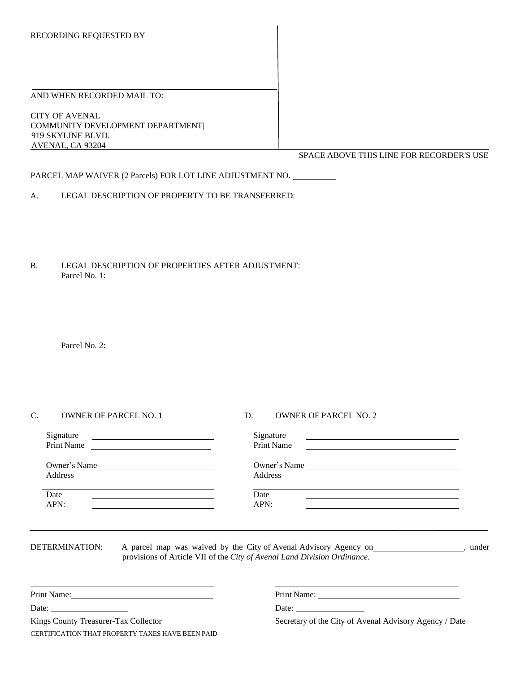#### AND WHEN RECORDED MAIL TO:

CITY OF AVENAL COMMUNITY DEVELOPMENT DEPARTMENT| 919 SKYLINE BLVD. AVENAL, CA 93204

SPACE ABOVE THIS LINE FOR RECORDER'S USE

PARCEL MAP WAIVER (2 Parcels) FOR LOT LINE ADJUSTMENT NO.

A. LEGAL DESCRIPTION OF PROPERTY TO BE TRANSFERRED:

B. LEGAL DESCRIPTION OF PROPERTIES AFTER ADJUSTMENT: Parcel No. 1:

Parcel No. 2:

| Ċ. | <b>OWNER OF PARCEL NO. 1</b>                                                                                                         | <b>OWNER OF PARCEL NO. 2</b><br>D.                                                                                                                                                                                                                              |  |
|----|--------------------------------------------------------------------------------------------------------------------------------------|-----------------------------------------------------------------------------------------------------------------------------------------------------------------------------------------------------------------------------------------------------------------|--|
|    | Signature<br><u> 1980 - Andrea Andrew Maria (h. 1980).</u><br><u> 1980 - Andrea Brand, amerikansk politik (</u><br><b>Print Name</b> | Signature<br><u>state and the state of the state of the state of the state of the state of the state of the state of the state of the state of the state of the state of the state of the state of the state of the state of the state of the</u><br>Print Name |  |
|    | Owner's Name<br>Address                                                                                                              | Owner's Name<br>Address                                                                                                                                                                                                                                         |  |
|    | Date<br>APN:                                                                                                                         | Date<br>APN:                                                                                                                                                                                                                                                    |  |

DETERMINATION: A parcel map was waived by the City of Avenal Advisory Agency on , under provisions of Article VII of the *City of Avenal Land Division Ordinance.* 

Print Name:

Date:

Kings County Treasurer-Tax Collector CERTIFICATION THAT PROPERTY TAXES HAVE BEEN PAID Print Name:

Date:

Secretary of the City of Avenal Advisory Agency / Date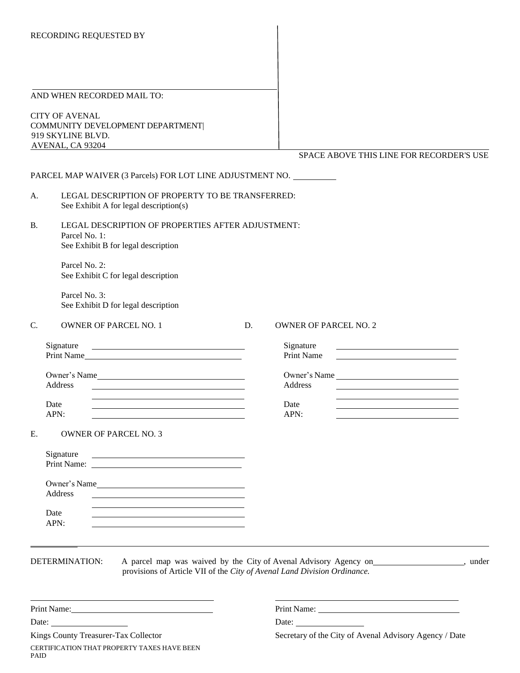#### AND WHEN RECORDED MAIL TO:

CITY OF AVENAL COMMUNITY DEVELOPMENT DEPARTMENT| 919 SKYLINE BLVD. AVENAL, CA 93204

SPACE ABOVE THIS LINE FOR RECORDER'S USE

|    |                                                          |                                                                                                                                                                                                                                |    | SPACE ABOVE THIS LINE FOR RECORDER'S USE                                                                                                             |  |
|----|----------------------------------------------------------|--------------------------------------------------------------------------------------------------------------------------------------------------------------------------------------------------------------------------------|----|------------------------------------------------------------------------------------------------------------------------------------------------------|--|
|    |                                                          | PARCEL MAP WAIVER (3 Parcels) FOR LOT LINE ADJUSTMENT NO.                                                                                                                                                                      |    |                                                                                                                                                      |  |
| A. |                                                          | LEGAL DESCRIPTION OF PROPERTY TO BE TRANSFERRED:<br>See Exhibit A for legal description(s)                                                                                                                                     |    |                                                                                                                                                      |  |
| B. | Parcel No. 1:                                            | LEGAL DESCRIPTION OF PROPERTIES AFTER ADJUSTMENT:<br>See Exhibit B for legal description                                                                                                                                       |    |                                                                                                                                                      |  |
|    | Parcel No. 2:                                            | See Exhibit C for legal description                                                                                                                                                                                            |    |                                                                                                                                                      |  |
|    | Parcel No. 3:                                            | See Exhibit D for legal description                                                                                                                                                                                            |    |                                                                                                                                                      |  |
| C. |                                                          | <b>OWNER OF PARCEL NO. 1</b>                                                                                                                                                                                                   | D. | <b>OWNER OF PARCEL NO. 2</b>                                                                                                                         |  |
|    | Signature                                                | Print Name                                                                                                                                                                                                                     |    | Signature<br>Print Name                                                                                                                              |  |
|    | Address                                                  | Owner's Name<br><u> 1989 - Johann Barn, mars and de Brasilian (b. 1989)</u><br><u> 1989 - Johann Stoff, Amerikaansk politiker († 1908)</u>                                                                                     |    | Owner's Name<br>Address<br><u> 1989 - Johann Stoff, Amerikaansk politiker († 1908)</u><br><u> 1989 - Johann Barn, amerikansk politiker (d. 1989)</u> |  |
|    | Date<br>APN:                                             | <u> 1989 - Johann Barn, amerikansk politiker (d. 1989)</u>                                                                                                                                                                     |    | Date<br><u> 1989 - Johann Stoff, Amerikaansk politiker († 1908)</u><br>APN:                                                                          |  |
| E. |                                                          | <b>OWNER OF PARCEL NO. 3</b>                                                                                                                                                                                                   |    |                                                                                                                                                      |  |
|    | Signature                                                | <u> 1989 - Johann Barn, mars ann an t-Amhair an t-Amhair an t-Amhair an t-Amhair an t-Amhair an t-Amhair an t-Amh</u>                                                                                                          |    |                                                                                                                                                      |  |
|    | Address                                                  | Owner's Name<br><u> 1989 - Johann Stoff, amerikansk politiker (* 1908)</u>                                                                                                                                                     |    |                                                                                                                                                      |  |
|    | Date<br>APN:                                             | <u> 1989 - Johann Stein, Amerikaansk politiker († 1908)</u><br><u> 1989 - Johann Stoff, deutscher Stoff, der Stoff, der Stoff, der Stoff, der Stoff, der Stoff, der Stoff, der S</u>                                           |    |                                                                                                                                                      |  |
|    | DETERMINATION:                                           | provisions of Article VII of the City of Avenal Land Division Ordinance.                                                                                                                                                       |    | A parcel map was waived by the City of Avenal Advisory Agency on _______________, under                                                              |  |
|    |                                                          |                                                                                                                                                                                                                                |    |                                                                                                                                                      |  |
|    | Date: $\frac{1}{\sqrt{1-\frac{1}{2}} \cdot \frac{1}{2}}$ | Print Name: Name and Second Second Second Second Second Second Second Second Second Second Second Second Second Second Second Second Second Second Second Second Second Second Second Second Second Second Second Second Secon |    |                                                                                                                                                      |  |
|    |                                                          | Kings County Treasurer-Tax Collector                                                                                                                                                                                           |    | Secretary of the City of Avenal Advisory Agency / Date                                                                                               |  |

Kings County Treasurer-Tax Collector CERTIFICATION THAT PROPERTY TAXES HAVE BEEN

PAID